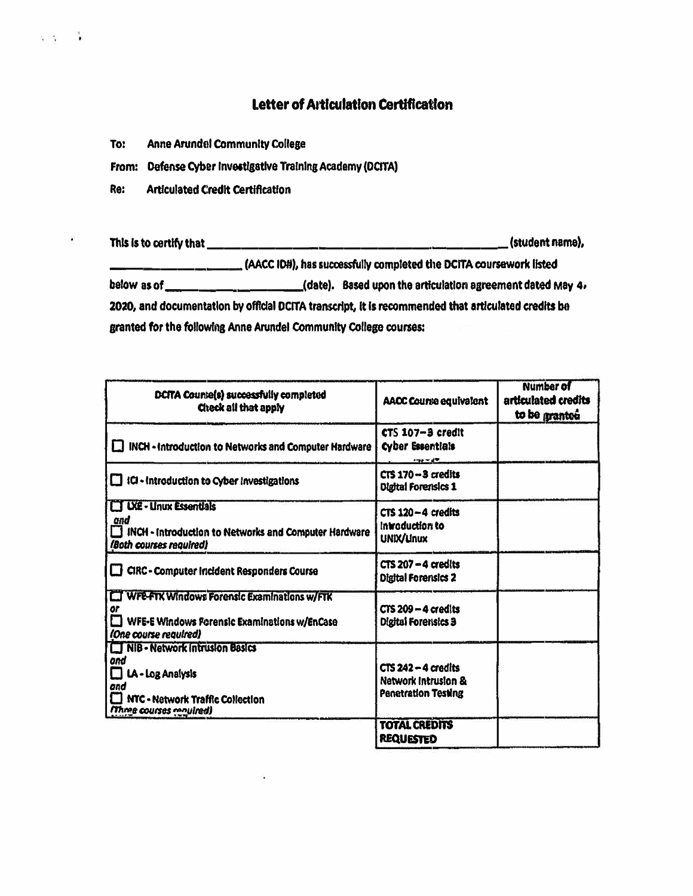## Letter of Articulation Certification

**Anne Arundel Community College** To:

 $5 - 1$ 

٠

From: Defense Cyber Investigative Training Academy (DCITA)

Re: **Articulated Credit Certification** 

(AACC IDH), has successfully completed the DCITA coursework listed below as of \_\_\_\_\_\_\_\_\_\_\_\_\_\_\_\_\_\_\_\_\_(date). Based upon the articulation agreement dated May 4, 2020, and documentation by official DCITA transcript, it is recommended that articulated credits be granted for the following Anne Arundel Community College courses:

| DCITA Counte(s) successfully completed<br>Check all that apply                                                                             | AACC Course equivalent                                              | <b>Number of</b><br>articulated credits<br>to be granted |
|--------------------------------------------------------------------------------------------------------------------------------------------|---------------------------------------------------------------------|----------------------------------------------------------|
| INCH - Introduction to Networks and Computer Hardware                                                                                      | CTS 107-3 credit<br><b>Cyber Essentials</b><br>$-99 - 49$           |                                                          |
| ICI - Introduction to Cyber Investigations<br>TТ                                                                                           | $CTS 170 - 3$ credits<br><b>Olgital Forensics 1</b>                 |                                                          |
| <b>LT UXE - Linux Essentials</b><br>and<br>INCH - Introduction to Networks and Computer Hardware<br>(Both courses required)                | $CTS$ 120 $-4$ credits<br>Introduction to<br>UNIX/Linux             |                                                          |
| CIRC - Computer Incident Responders Course                                                                                                 | $CTS 207 - 4$ credits<br><b>Digital Forensics 2</b>                 |                                                          |
| <b>WFE-FTK Windows Forensic Examinations w/FTK</b><br>or<br>WFE-E Windows Forensic Examinations w/EnCase<br>(One course required)          | $CTS$ 209 – 4 credits<br><b>Digital Forensics 3</b>                 |                                                          |
| NIB - Network Intrusion Basics<br>ond<br>LA - Log Analysis<br>and<br><b>I NTC - Network Traffic Collection</b><br>(Three courses required) | $CTS$ 242 – 4 credits<br>Network Intrusion &<br>Penetration Testing |                                                          |
|                                                                                                                                            | <b>TOTAL CREDITS</b><br><b>REQUESTED</b>                            |                                                          |